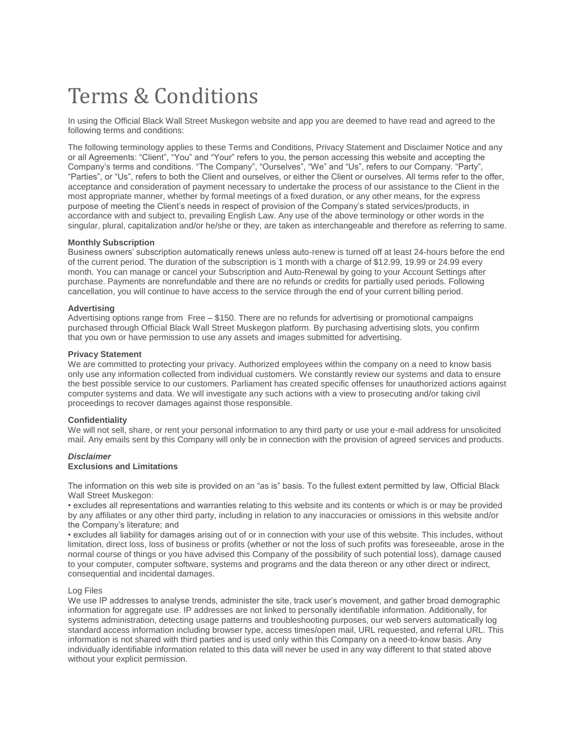# Terms & Conditions

In using the Official Black Wall Street Muskegon website and app you are deemed to have read and agreed to the following terms and conditions:

The following terminology applies to these Terms and Conditions, Privacy Statement and Disclaimer Notice and any or all Agreements: "Client", "You" and "Your" refers to you, the person accessing this website and accepting the Company's terms and conditions. "The Company", "Ourselves", "We" and "Us", refers to our Company. "Party", "Parties", or "Us", refers to both the Client and ourselves, or either the Client or ourselves. All terms refer to the offer, acceptance and consideration of payment necessary to undertake the process of our assistance to the Client in the most appropriate manner, whether by formal meetings of a fixed duration, or any other means, for the express purpose of meeting the Client's needs in respect of provision of the Company's stated services/products, in accordance with and subject to, prevailing English Law. Any use of the above terminology or other words in the singular, plural, capitalization and/or he/she or they, are taken as interchangeable and therefore as referring to same.

## **Monthly Subscription**

Business owners' subscription automatically renews unless auto-renew is turned off at least 24-hours before the end of the current period. The duration of the subscription is 1 month with a charge of \$12.99, 19.99 or 24.99 every month. You can manage or cancel your Subscription and Auto-Renewal by going to your Account Settings after purchase. Payments are nonrefundable and there are no refunds or credits for partially used periods. Following cancellation, you will continue to have access to the service through the end of your current billing period.

#### **Advertising**

Advertising options range from Free – \$150. There are no refunds for advertising or promotional campaigns purchased through Official Black Wall Street Muskegon platform. By purchasing advertising slots, you confirm that you own or have permission to use any assets and images submitted for advertising.

#### **Privacy Statement**

We are committed to protecting your privacy. Authorized employees within the company on a need to know basis only use any information collected from individual customers. We constantly review our systems and data to ensure the best possible service to our customers. Parliament has created specific offenses for unauthorized actions against computer systems and data. We will investigate any such actions with a view to prosecuting and/or taking civil proceedings to recover damages against those responsible.

# **Confidentiality**

We will not sell, share, or rent your personal information to any third party or use your e-mail address for unsolicited mail. Any emails sent by this Company will only be in connection with the provision of agreed services and products.

## *Disclaimer* **Exclusions and Limitations**

The information on this web site is provided on an "as is" basis. To the fullest extent permitted by law, Official Black Wall Street Muskegon:

• excludes all representations and warranties relating to this website and its contents or which is or may be provided by any affiliates or any other third party, including in relation to any inaccuracies or omissions in this website and/or the Company's literature; and

• excludes all liability for damages arising out of or in connection with your use of this website. This includes, without limitation, direct loss, loss of business or profits (whether or not the loss of such profits was foreseeable, arose in the normal course of things or you have advised this Company of the possibility of such potential loss), damage caused to your computer, computer software, systems and programs and the data thereon or any other direct or indirect, consequential and incidental damages.

#### Log Files

We use IP addresses to analyse trends, administer the site, track user's movement, and gather broad demographic information for aggregate use. IP addresses are not linked to personally identifiable information. Additionally, for systems administration, detecting usage patterns and troubleshooting purposes, our web servers automatically log standard access information including browser type, access times/open mail, URL requested, and referral URL. This information is not shared with third parties and is used only within this Company on a need-to-know basis. Any individually identifiable information related to this data will never be used in any way different to that stated above without your explicit permission.